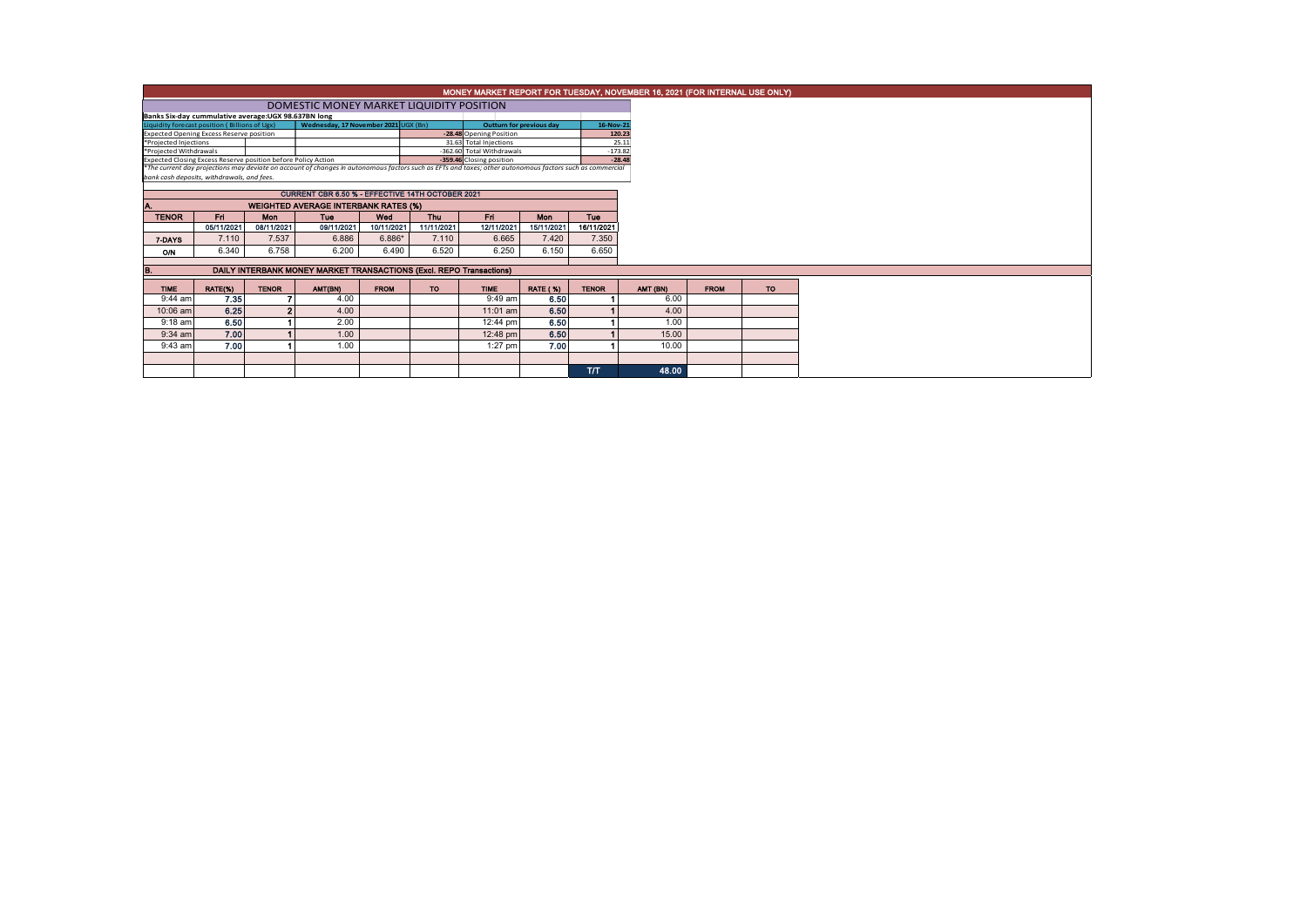|                                                                                                                                                                                                                           |                                             |              | MONEY MARKET REPORT FOR TUESDAY, NOVEMBER 16, 2021 (FOR INTERNAL USE ONLY) |             |            |                                                       |                 |              |          |          |             |
|---------------------------------------------------------------------------------------------------------------------------------------------------------------------------------------------------------------------------|---------------------------------------------|--------------|----------------------------------------------------------------------------|-------------|------------|-------------------------------------------------------|-----------------|--------------|----------|----------|-------------|
|                                                                                                                                                                                                                           |                                             |              |                                                                            |             |            |                                                       |                 |              |          |          |             |
| Banks Six-day cummulative average:UGX 98.637BN long                                                                                                                                                                       |                                             |              |                                                                            |             |            |                                                       |                 |              |          |          |             |
| Liquidity forecast position (Billions of Ugx)                                                                                                                                                                             |                                             |              | 16-Nov-21                                                                  |             |            |                                                       |                 |              |          |          |             |
| Expected Opening Excess Reserve position<br>*Projected Injections                                                                                                                                                         |                                             |              |                                                                            |             |            | -28.48 Opening Position                               |                 |              | 120.23   |          |             |
|                                                                                                                                                                                                                           |                                             |              |                                                                            |             |            | 31.63 Total Injections                                |                 |              | 25.11    |          |             |
| *Projected Withdrawals                                                                                                                                                                                                    |                                             |              |                                                                            |             |            | -362.60 Total Withdrawals<br>-359.46 Closing position |                 | $-173.82$    | $-28.48$ |          |             |
| Expected Closing Excess Reserve position before Policy Action<br>*The current day projections may deviate on account of changes in autonomous factors such as EFTs and taxes; other autonomous factors such as commercial |                                             |              |                                                                            |             |            |                                                       |                 |              |          |          |             |
|                                                                                                                                                                                                                           | bank cash deposits, withdrawals, and fees.  |              |                                                                            |             |            |                                                       |                 |              |          |          |             |
|                                                                                                                                                                                                                           |                                             |              |                                                                            |             |            |                                                       |                 |              |          |          |             |
|                                                                                                                                                                                                                           |                                             |              |                                                                            |             |            |                                                       |                 |              |          |          |             |
|                                                                                                                                                                                                                           | <b>WEIGHTED AVERAGE INTERBANK RATES (%)</b> |              |                                                                            |             |            |                                                       |                 |              |          |          |             |
| <b>TENOR</b>                                                                                                                                                                                                              | Fri.                                        | <b>Mon</b>   | <b>Tue</b>                                                                 | Wed         | Thu        | Fri.                                                  | Mon             | Tue          |          |          |             |
|                                                                                                                                                                                                                           | 05/11/2021                                  | 08/11/2021   | 09/11/2021                                                                 | 10/11/2021  | 11/11/2021 | 12/11/2021                                            | 15/11/2021      | 16/11/2021   |          |          |             |
| 7-DAYS                                                                                                                                                                                                                    | 7.110                                       | 7.537        | 6.886                                                                      | 6.886*      | 7.110      | 6.665                                                 | 7.420           | 7.350        |          |          |             |
| ON                                                                                                                                                                                                                        | 6.340                                       | 6.758        | 6.200                                                                      | 6.490       | 6.520      | 6.250                                                 | 6.150           | 6.650        |          |          |             |
|                                                                                                                                                                                                                           |                                             |              |                                                                            |             |            |                                                       |                 |              |          |          |             |
| в.                                                                                                                                                                                                                        |                                             |              | DAILY INTERBANK MONEY MARKET TRANSACTIONS (Excl. REPO Transactions)        |             |            |                                                       |                 |              |          |          |             |
| <b>TIME</b>                                                                                                                                                                                                               | RATE(%)                                     | <b>TENOR</b> | AMT(BN)                                                                    | <b>FROM</b> | <b>TO</b>  | <b>TIME</b>                                           | <b>RATE (%)</b> | <b>TENOR</b> |          | AMT (BN) | <b>FROM</b> |
| $9:44$ am                                                                                                                                                                                                                 | 7.35                                        |              | 4.00                                                                       |             |            | $9:49$ am                                             | 6.50            |              |          | 6.00     |             |
| 10:06 am                                                                                                                                                                                                                  | 6.25                                        |              | 4.00                                                                       |             |            | 11:01 am                                              | 6.50            |              |          | 4.00     |             |
| $9:18$ am                                                                                                                                                                                                                 | 6.50                                        |              | 2.00                                                                       |             |            | 12:44 pm                                              | 6.50            |              |          | 1.00     |             |
| $9:34$ am                                                                                                                                                                                                                 | 7.00                                        |              | 1.00                                                                       |             |            | 12:48 pm                                              | 6.50            |              |          | 15.00    |             |
| $9:43$ am                                                                                                                                                                                                                 | 7.00                                        |              | 1.00                                                                       |             |            | $1:27$ pm                                             | 7.00            |              |          | 10.00    |             |
|                                                                                                                                                                                                                           |                                             |              |                                                                            |             |            |                                                       |                 |              |          |          |             |
|                                                                                                                                                                                                                           |                                             |              |                                                                            |             |            |                                                       |                 | <b>T/T</b>   |          | 48.00    |             |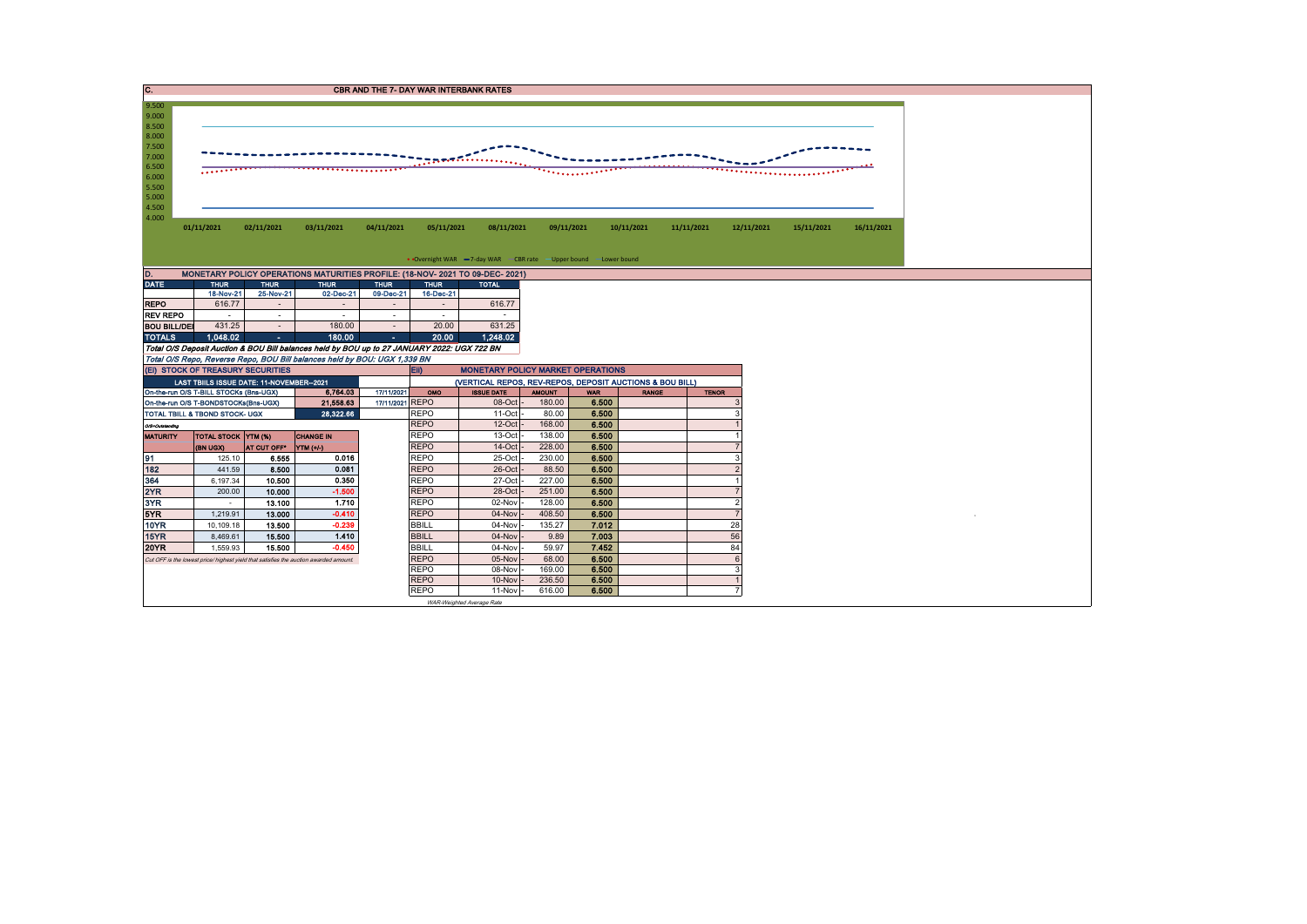| IC.                                                                                                      | <b>CBR AND THE 7- DAY WAR INTERBANK RATES</b> |                     |                                                                                             |                     |                                                  |                                                                   |                  |                |              |            |                          |  |            |            |  |  |
|----------------------------------------------------------------------------------------------------------|-----------------------------------------------|---------------------|---------------------------------------------------------------------------------------------|---------------------|--------------------------------------------------|-------------------------------------------------------------------|------------------|----------------|--------------|------------|--------------------------|--|------------|------------|--|--|
| 9.500<br>9.000<br>8.500<br>8.000<br>7.500<br>7.000<br>6.500<br>6.000<br>5.500<br>5.000<br>4.500<br>4.000 | .                                             |                     |                                                                                             |                     |                                                  | $\mathbb{R}$ , we define the set of $\mathbb{R}$                  |                  |                |              |            |                          |  |            |            |  |  |
|                                                                                                          | 01/11/2021                                    | 02/11/2021          | 03/11/2021                                                                                  | 04/11/2021          | 05/11/2021                                       | 08/11/2021                                                        |                  | 09/11/2021     | 10/11/2021   | 11/11/2021 | 12/11/2021               |  | 15/11/2021 | 16/11/2021 |  |  |
|                                                                                                          |                                               |                     |                                                                                             |                     |                                                  |                                                                   |                  |                |              |            |                          |  |            |            |  |  |
|                                                                                                          |                                               |                     |                                                                                             |                     |                                                  | • Overnight WAR -7-day WAR - CBR rate - Upper bound - Lower bound |                  |                |              |            |                          |  |            |            |  |  |
| D.                                                                                                       |                                               |                     | MONETARY POLICY OPERATIONS MATURITIES PROFILE: (18-NOV- 2021 TO 09-DEC- 2021)               |                     |                                                  |                                                                   |                  |                |              |            |                          |  |            |            |  |  |
| <b>DATE</b>                                                                                              | <b>THUR</b>                                   | <b>THUR</b>         | <b>THUR</b>                                                                                 | <b>THUR</b>         | <b>THUR</b>                                      | <b>TOTAL</b>                                                      |                  |                |              |            |                          |  |            |            |  |  |
| <b>REPO</b>                                                                                              | 18-Nov-21<br>616.77                           | 25-Nov-21<br>$\sim$ | 02-Dec-21<br>÷.                                                                             | 09-Dec-21<br>$\sim$ | 16-Dec-21<br>$\sim$                              | 616.77                                                            |                  |                |              |            |                          |  |            |            |  |  |
| <b>REV REPO</b>                                                                                          |                                               | $\sim$              | $\sim$                                                                                      | $\sim$              | $\sim$                                           |                                                                   |                  |                |              |            |                          |  |            |            |  |  |
| <b>BOU BILL/DEI</b>                                                                                      | 431.25                                        | $\sim$              | 180.00                                                                                      | $\sim$              | 20.00                                            | 631.25                                                            |                  |                |              |            |                          |  |            |            |  |  |
| <b>TOTALS</b>                                                                                            | 1.048.02                                      | $\Delta \sim 10^4$  | 180.00                                                                                      | $\Delta \phi = 0$   | 20.00                                            | 1,248.02                                                          |                  |                |              |            |                          |  |            |            |  |  |
|                                                                                                          |                                               |                     | Total O/S Deposit Auction & BOU Bill balances held by BOU up to 27 JANUARY 2022: UGX 722 BN |                     |                                                  |                                                                   |                  |                |              |            |                          |  |            |            |  |  |
|                                                                                                          |                                               |                     | Total O/S Repo, Reverse Repo, BOU Bill balances held by BOU: UGX 1,339 BN                   |                     |                                                  |                                                                   |                  |                |              |            |                          |  |            |            |  |  |
|                                                                                                          | (EI) STOCK OF TREASURY SECURITIES             |                     |                                                                                             |                     | <b>MONETARY POLICY MARKET OPERATIONS</b><br>EII) |                                                                   |                  |                |              |            |                          |  |            |            |  |  |
|                                                                                                          | LAST TBIILS ISSUE DATE: 11-NOVEMBER--2021     |                     |                                                                                             |                     |                                                  | (VERTICAL REPOS, REV-REPOS, DEPOSIT AUCTIONS & BOU BILL)          |                  |                |              |            |                          |  |            |            |  |  |
|                                                                                                          | On-the-run O/S T-BILL STOCKs (Bns-UGX)        |                     | 6,764.03                                                                                    | 17/11/2021          | OMO                                              | <b>ISSUE DATE</b>                                                 | <b>AMOUNT</b>    | <b>WAR</b>     | <b>RANGE</b> |            | <b>TENOR</b>             |  |            |            |  |  |
|                                                                                                          | On-the-run O/S T-BONDSTOCKs(Bns-UGX)          |                     | 21,558.63                                                                                   | 17/11/2021 REPO     |                                                  | 08-Oct -                                                          | 180.00           | 6.500          |              |            |                          |  |            |            |  |  |
| TOTAL TBILL & TBOND STOCK- UGX<br>28.322.66                                                              |                                               |                     |                                                                                             |                     | <b>REPO</b>                                      | 11-Oct                                                            | 80.00            | 6.500          |              |            |                          |  |            |            |  |  |
| O/S=Outstanding                                                                                          | TOTAL STOCK YTM (%)                           |                     | <b>CHANGE IN</b>                                                                            |                     | <b>REPO</b><br><b>REPO</b>                       | $12$ -Oct<br>13-Oct                                               | 168.00<br>138.00 | 6.500<br>6.500 |              |            |                          |  |            |            |  |  |
| <b>MATURITY</b>                                                                                          | (BN UGX)                                      | AT CUT OFF*         |                                                                                             |                     | <b>REPO</b>                                      | 14-Oct                                                            | 228.00           | 6,500          |              |            | $\overline{7}$           |  |            |            |  |  |
| 91                                                                                                       | 125.10                                        | 6.555               | YTM (+/-)<br>0.016                                                                          |                     | <b>REPO</b>                                      | 25-Oct                                                            | 230.00           | 6.500          |              |            | 3                        |  |            |            |  |  |
| 182                                                                                                      | 441.59                                        | 8.500               | 0.081                                                                                       |                     | <b>REPO</b>                                      | 26-Oct                                                            | 88.50            | 6.500          |              |            | $\overline{\phantom{0}}$ |  |            |            |  |  |
| 364                                                                                                      | 6,197.34                                      | 10.500              | 0.350                                                                                       |                     | <b>REPO</b>                                      | 27-Oct                                                            | 227.00           | 6.500          |              |            |                          |  |            |            |  |  |
| 2YR                                                                                                      | 200.00                                        | 10.000              | $-1.500$                                                                                    |                     | <b>REPO</b>                                      | 28-Oct                                                            | 251.00           | 6.500          |              |            | $\overline{7}$           |  |            |            |  |  |
| 3YR                                                                                                      | $\sim$                                        | 13.100              | 1.710                                                                                       |                     | <b>REPO</b>                                      | 02-Nov                                                            | 128.00           | 6.500          |              |            | $\overline{2}$           |  |            |            |  |  |
| 5YR                                                                                                      | 1,219.91                                      | 13.000              | $-0.410$                                                                                    |                     | <b>REPO</b>                                      | 04-Nov                                                            | 408.50           | 6.500          |              |            | $\overline{7}$           |  |            |            |  |  |
| <b>10YR</b>                                                                                              | 10,109.18                                     | 13.500              | $-0.239$                                                                                    |                     | <b>BBILL</b>                                     | 04-Nov                                                            | 135.27           | 7.012          |              |            | 28                       |  |            |            |  |  |
| 15YR                                                                                                     | 8,469.61                                      | 15,500              | 1.410                                                                                       |                     | <b>BBILL</b>                                     | 04-Nov                                                            | 9.89             | 7.003          |              |            | 56                       |  |            |            |  |  |
| <b>20YR</b>                                                                                              | 1.559.93                                      | 15,500              | $-0.450$                                                                                    |                     | <b>BBILL</b>                                     | 04-Nov                                                            | 59.97            | 7.452          |              |            | 84                       |  |            |            |  |  |
|                                                                                                          |                                               |                     | Cut OFF is the lowest price/ highest yield that satisfies the auction awarded amount.       |                     | <b>REPO</b>                                      | 05-Nov                                                            | 68.00            | 6.500          |              |            | 6                        |  |            |            |  |  |
|                                                                                                          |                                               |                     |                                                                                             |                     | <b>REPO</b>                                      | 08-Nov                                                            | 169.00           | 6.500          |              |            | 3                        |  |            |            |  |  |
|                                                                                                          |                                               |                     |                                                                                             |                     | <b>REPO</b>                                      | 10-Nov                                                            | 236.50           | 6.500          |              |            |                          |  |            |            |  |  |
|                                                                                                          |                                               |                     |                                                                                             |                     | <b>REPO</b>                                      | 11-Nov                                                            | 616.00           | 6.500          |              |            | $\overline{7}$           |  |            |            |  |  |
|                                                                                                          |                                               |                     |                                                                                             |                     |                                                  | WAR-Weighted Average Rate                                         |                  |                |              |            |                          |  |            |            |  |  |